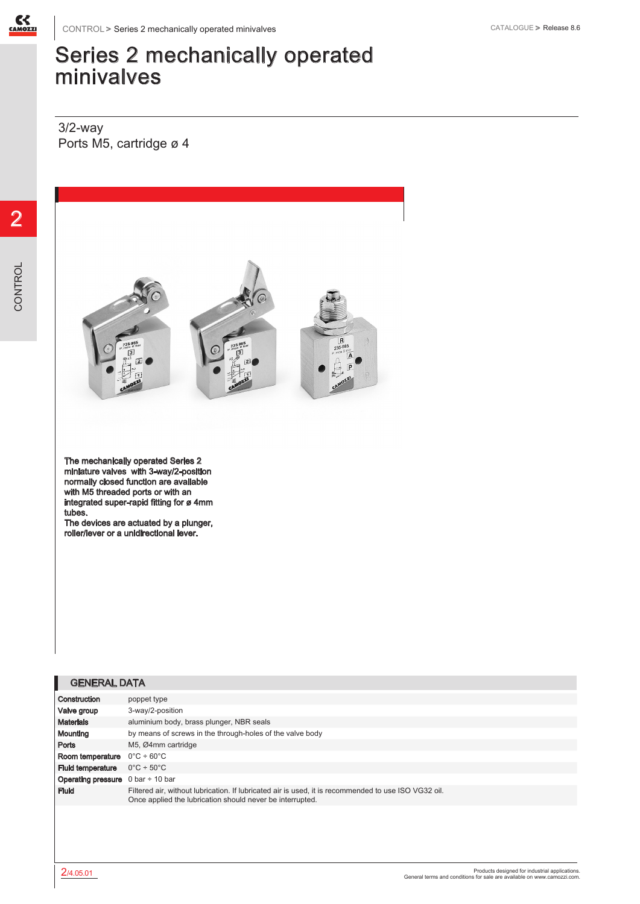

## Series 2 mechanically operated minivalves

3/2-way Ports M5, cartridge ø 4



The mechanically operated Series 2 miniature valves with 3-way/2-position normally closed function are available with M5 threaded ports or with an integrated super-rapid fitting for ø 4mm tubes.

The devices are actuated by a plunger, roller/lever or a unidirectional lever.

| <b>GENERAL DATA</b> |  |
|---------------------|--|
|                     |  |

| Construction                                                  | poppet type                                                                                                                                                       |
|---------------------------------------------------------------|-------------------------------------------------------------------------------------------------------------------------------------------------------------------|
| Valve group                                                   | 3-way/2-position                                                                                                                                                  |
| <b>Materials</b>                                              | aluminium body, brass plunger, NBR seals                                                                                                                          |
| Mounting                                                      | by means of screws in the through-holes of the valve body                                                                                                         |
| Ports                                                         | M5, Ø4mm cartridge                                                                                                                                                |
| Room temperature                                              | $0^{\circ}$ C ÷ 60 $^{\circ}$ C                                                                                                                                   |
| <b>Fluid temperature</b>                                      | $0^{\circ}$ C ÷ 50 $^{\circ}$ C                                                                                                                                   |
| <b>Operating pressure</b> $0 \text{ bar} \div 10 \text{ bar}$ |                                                                                                                                                                   |
| <b>Fluid</b>                                                  | Filtered air, without lubrication. If lubricated air is used, it is recommended to use ISO VG32 oil.<br>Once applied the lubrication should never be interrupted. |
|                                                               |                                                                                                                                                                   |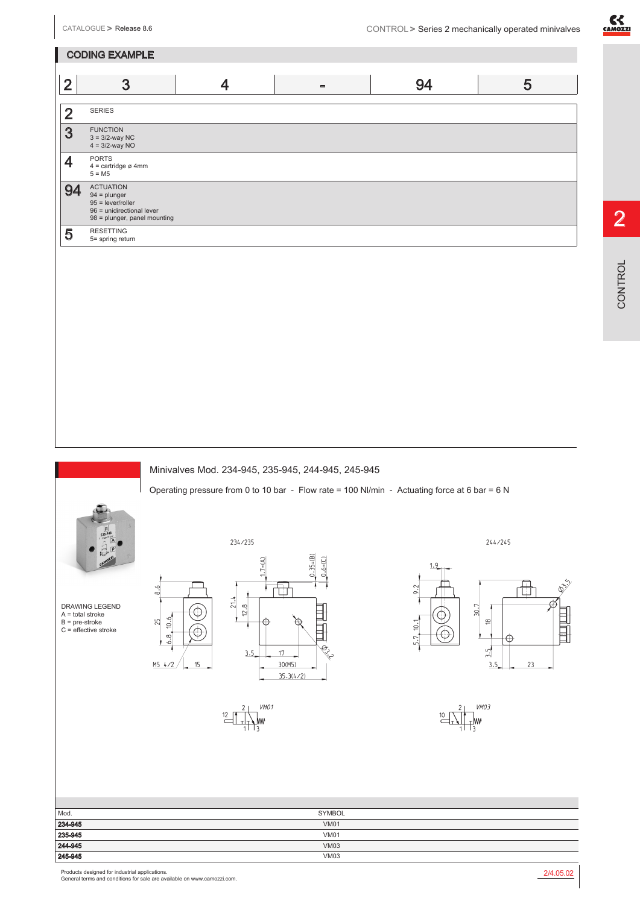CODING EXAMPLE

2 SERIES

**3** FUNCTION<br> $3 = 3/2$ -way NC<br> $4 = 3/2$ -way NO

**94** ACTUATION<br>  $94 = \text{plunger}$ <br>  $95 = \text{lever/roller}$ 

 $5$  RESETTING<br>5= spring return

 $4 = \text{cartidge } \varnothing 4 \text{mm}$ <br>  $5 = \text{M5}$ 

96 = unidirectional lever 98 = plunger, panel mounting



2



Ć

(C

15

 $6.6$ 

 $10.6$ 25

 $6.8.$ 

 $M5$  4/2

DRAWING LEGEND A = total stroke B = pre-stroke C = effective stroke



2 3 4 - 94 5

VM01

244/245



VMO3  $\frac{10}{5}$ -lw

| Mod.<br>234-945<br>235-945<br>244-945<br>245-945 | <b>SYMBOL</b> |  |
|--------------------------------------------------|---------------|--|
|                                                  | <b>VM01</b>   |  |
|                                                  | <b>VM01</b>   |  |
|                                                  | <b>VM03</b>   |  |
|                                                  | <b>VM03</b>   |  |

Products designed for industrial applications. General terms and conditions for sale are available on www.camozzi.com.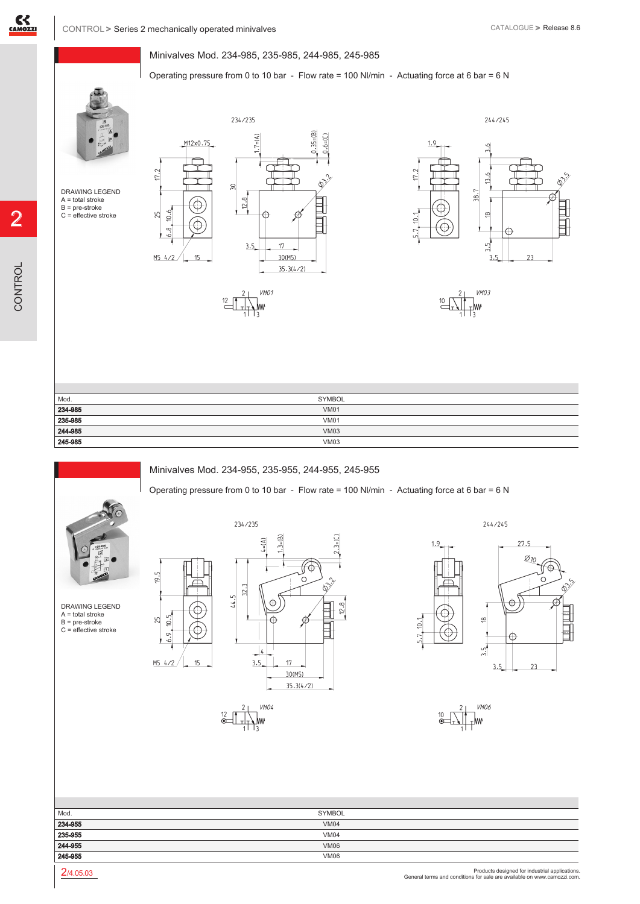2

CONTROL

CONTROL

 $17.2$ 

25

## Minivalves Mod. 234-985, 235-985, 244-985, 245-985

Operating pressure from 0 to 10 bar - Flow rate = 100 Nl/min - Actuating force at 6 bar = 6 N



DRAWING LEGEND A = total stroke B = pre-stroke C = effective stroke









| Mod.               | SYMBOL      |
|--------------------|-------------|
| 234-985            | <b>VM01</b> |
| 235-985            | <b>VM01</b> |
| 244-985<br>245-985 | <b>VM03</b> |
|                    | <b>VM03</b> |

Operating pressure from 0 to 10 bar - Flow rate = 100 Nl/min - Actuating force at 6 bar = 6 N

## Minivalves Mod. 234-955, 235-955, 244-955, 245-955



 $9.5$ 

25

 $10.5$ 

 $6.9.$ 

DRAWING LEGEND A = total stroke B = pre-stroke C = effective stroke



244/245



**VMO6** 

| Mod.                          | SYMBOL      |  |
|-------------------------------|-------------|--|
|                               | <b>VM04</b> |  |
|                               | <b>VM04</b> |  |
| 234-955<br>235-955<br>244-955 | <b>VM06</b> |  |
| 245-955                       | <b>VM06</b> |  |